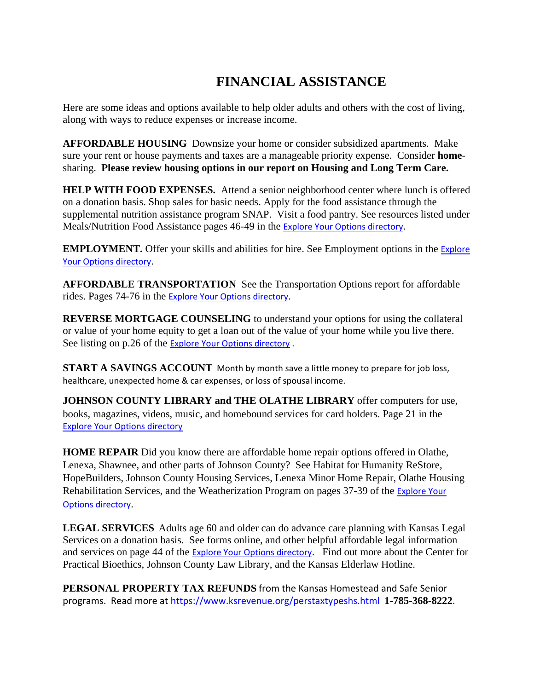## **FINANCIAL ASSISTANCE**

Here are some ideas and options available to help older adults and others with the cost of living, along with ways to reduce expenses or increase income.

**AFFORDABLE HOUSING** Downsize your home or consider subsidized apartments. Make sure your rent or house payments and taxes are a manageable priority expense. Consider **home**sharing. **Please review housing options in our report on Housing and Long Term Care.**

**HELP WITH FOOD EXPENSES.** Attend a senior neighborhood center where lunch is offered on a donation basis. Shop sales for basic needs. Apply for the food assistance through the supplemental nutrition assistance program SNAP. Visit a food pantry. See resources listed under Meals/Nutrition Food Assistance pages 46-49 in the [Explore Your Options directory](https://www.jocogov.org/sites/default/files/documents/HSA/2020%20EYO%20Directory%20with%20Bookmarks.pdf).

**EMPLOYMENT.** Offer your skills and abilities for hire. See Employment options in the Explore [Your Options directory](https://www.jocogov.org/sites/default/files/documents/HSA/2020%20EYO%20Directory%20with%20Bookmarks.pdf).

**AFFORDABLE TRANSPORTATION** See the Transportation Options report for affordable rides. Pages 74-76 in the [Explore Your Options directory](https://www.jocogov.org/sites/default/files/documents/HSA/2020%20EYO%20Directory%20with%20Bookmarks.pdf).

**REVERSE MORTGAGE COUNSELING** to understand your options for using the collateral or value of your home equity to get a loan out of the value of your home while you live there. See listing on p.26 of the [Explore Your Options directory .](https://www.jocogov.org/sites/default/files/documents/HSA/2020%20EYO%20Directory%20with%20Bookmarks.pdf)

**START A SAVINGS ACCOUNT** Month by month save a little money to prepare for job loss, healthcare, unexpected home & car expenses, or loss of spousal income.

**JOHNSON COUNTY LIBRARY and THE OLATHE LIBRARY** offer computers for use, books, magazines, videos, music, and homebound services for card holders. Page 21 in the [Explore Your Options directory](https://www.jocogov.org/sites/default/files/documents/HSA/2020%20EYO%20Directory%20with%20Bookmarks.pdf)

**HOME REPAIR** Did you know there are affordable home repair options offered in Olathe, Lenexa, Shawnee, and other parts of Johnson County? See Habitat for Humanity ReStore, HopeBuilders, Johnson County Housing Services, Lenexa Minor Home Repair, Olathe Housing Rehabilitation Services, and the Weatherization Program on pages 37-39 of the [Explore Your](https://www.jocogov.org/sites/default/files/documents/HSA/2020%20EYO%20Directory%20with%20Bookmarks.pdf)  [Options directory](https://www.jocogov.org/sites/default/files/documents/HSA/2020%20EYO%20Directory%20with%20Bookmarks.pdf).

**LEGAL SERVICES** Adults age 60 and older can do advance care planning with Kansas Legal Services on a donation basis. See forms online, and other helpful affordable legal information and services on page 44 of the **[Explore Your Options directory](https://www.jocogov.org/sites/default/files/documents/HSA/2020%20EYO%20Directory%20with%20Bookmarks.pdf)**. Find out more about the Center for Practical Bioethics, Johnson County Law Library, and the Kansas Elderlaw Hotline.

**PERSONAL PROPERTY TAX REFUNDS** from the Kansas Homestead and Safe Senior programs. Read more at <https://www.ksrevenue.org/perstaxtypeshs.html>**1-785-368-8222**.